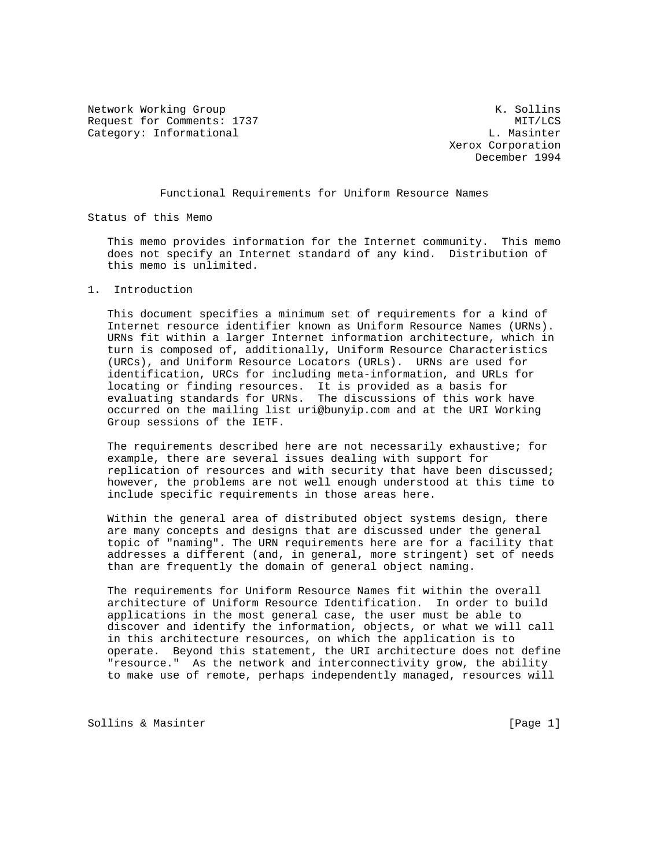Network Working Group Network Working Group Network Constants and Manual Methods and Manual Methods and Manual Request for Comments: 1737 MIT/LCS Category: Informational and L. Massinter

 Xerox Corporation December 1994

## Functional Requirements for Uniform Resource Names

Status of this Memo

 This memo provides information for the Internet community. This memo does not specify an Internet standard of any kind. Distribution of this memo is unlimited.

## 1. Introduction

 This document specifies a minimum set of requirements for a kind of Internet resource identifier known as Uniform Resource Names (URNs). URNs fit within a larger Internet information architecture, which in turn is composed of, additionally, Uniform Resource Characteristics (URCs), and Uniform Resource Locators (URLs). URNs are used for identification, URCs for including meta-information, and URLs for locating or finding resources. It is provided as a basis for evaluating standards for URNs. The discussions of this work have occurred on the mailing list uri@bunyip.com and at the URI Working Group sessions of the IETF.

 The requirements described here are not necessarily exhaustive; for example, there are several issues dealing with support for replication of resources and with security that have been discussed; however, the problems are not well enough understood at this time to include specific requirements in those areas here.

 Within the general area of distributed object systems design, there are many concepts and designs that are discussed under the general topic of "naming". The URN requirements here are for a facility that addresses a different (and, in general, more stringent) set of needs than are frequently the domain of general object naming.

 The requirements for Uniform Resource Names fit within the overall architecture of Uniform Resource Identification. In order to build applications in the most general case, the user must be able to discover and identify the information, objects, or what we will call in this architecture resources, on which the application is to operate. Beyond this statement, the URI architecture does not define "resource." As the network and interconnectivity grow, the ability to make use of remote, perhaps independently managed, resources will

Sollins & Masinter [Page 1]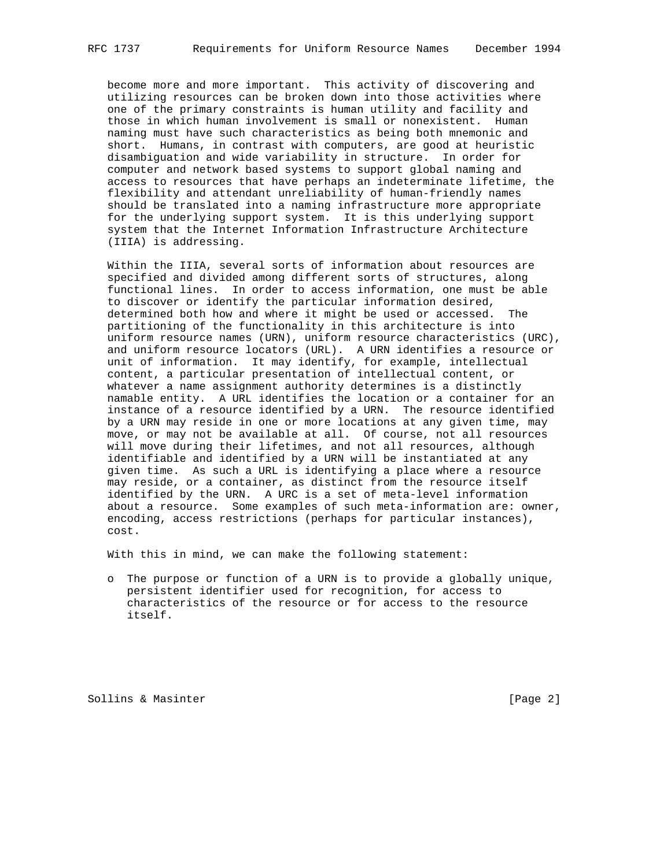become more and more important. This activity of discovering and utilizing resources can be broken down into those activities where one of the primary constraints is human utility and facility and those in which human involvement is small or nonexistent. Human naming must have such characteristics as being both mnemonic and short. Humans, in contrast with computers, are good at heuristic disambiguation and wide variability in structure. In order for computer and network based systems to support global naming and access to resources that have perhaps an indeterminate lifetime, the flexibility and attendant unreliability of human-friendly names should be translated into a naming infrastructure more appropriate for the underlying support system. It is this underlying support system that the Internet Information Infrastructure Architecture (IIIA) is addressing.

 Within the IIIA, several sorts of information about resources are specified and divided among different sorts of structures, along functional lines. In order to access information, one must be able to discover or identify the particular information desired, determined both how and where it might be used or accessed. The partitioning of the functionality in this architecture is into uniform resource names (URN), uniform resource characteristics (URC), and uniform resource locators (URL). A URN identifies a resource or unit of information. It may identify, for example, intellectual content, a particular presentation of intellectual content, or whatever a name assignment authority determines is a distinctly namable entity. A URL identifies the location or a container for an instance of a resource identified by a URN. The resource identified by a URN may reside in one or more locations at any given time, may move, or may not be available at all. Of course, not all resources will move during their lifetimes, and not all resources, although identifiable and identified by a URN will be instantiated at any given time. As such a URL is identifying a place where a resource may reside, or a container, as distinct from the resource itself identified by the URN. A URC is a set of meta-level information about a resource. Some examples of such meta-information are: owner, encoding, access restrictions (perhaps for particular instances), cost.

With this in mind, we can make the following statement:

 o The purpose or function of a URN is to provide a globally unique, persistent identifier used for recognition, for access to characteristics of the resource or for access to the resource itself.

Sollins & Masinter **Example 2** and Sollins & Masinter **and Solling 2** and Solling 2 and 2 and 2 and 2 and 2 and 2 and 2 and 2 and 2 and 2 and 2 and 2 and 2 and 2 and 2 and 2 and 2 and 2 and 2 and 2 and 2 and 2 and 2 and 2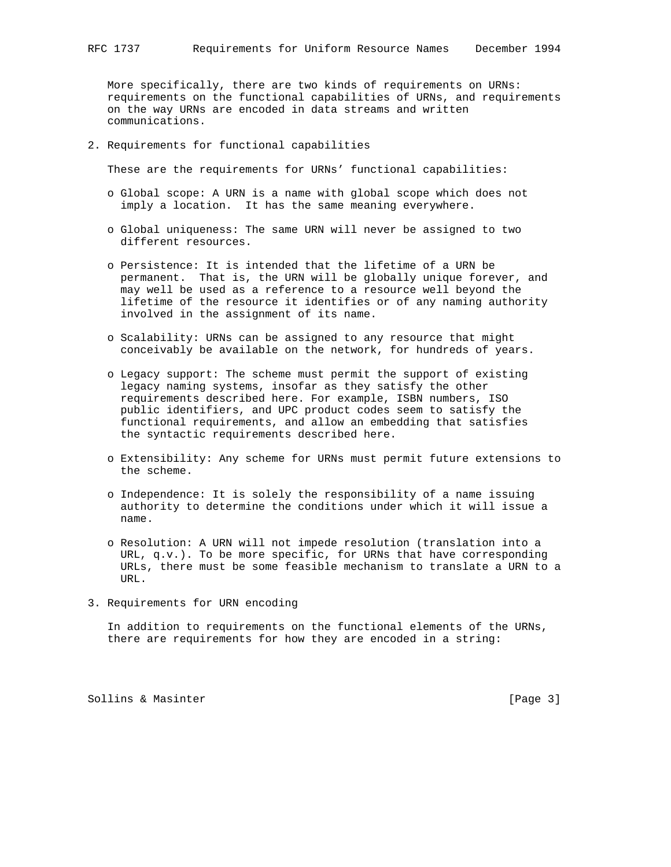More specifically, there are two kinds of requirements on URNs: requirements on the functional capabilities of URNs, and requirements on the way URNs are encoded in data streams and written communications.

2. Requirements for functional capabilities

These are the requirements for URNs' functional capabilities:

- o Global scope: A URN is a name with global scope which does not imply a location. It has the same meaning everywhere.
- o Global uniqueness: The same URN will never be assigned to two different resources.
- o Persistence: It is intended that the lifetime of a URN be permanent. That is, the URN will be globally unique forever, and may well be used as a reference to a resource well beyond the lifetime of the resource it identifies or of any naming authority involved in the assignment of its name.
- o Scalability: URNs can be assigned to any resource that might conceivably be available on the network, for hundreds of years.
- o Legacy support: The scheme must permit the support of existing legacy naming systems, insofar as they satisfy the other requirements described here. For example, ISBN numbers, ISO public identifiers, and UPC product codes seem to satisfy the functional requirements, and allow an embedding that satisfies the syntactic requirements described here.
- o Extensibility: Any scheme for URNs must permit future extensions to the scheme.
- o Independence: It is solely the responsibility of a name issuing authority to determine the conditions under which it will issue a name.
- o Resolution: A URN will not impede resolution (translation into a URL, q.v.). To be more specific, for URNs that have corresponding URLs, there must be some feasible mechanism to translate a URN to a URL.
- 3. Requirements for URN encoding

 In addition to requirements on the functional elements of the URNs, there are requirements for how they are encoded in a string:

Sollins & Masinter **Example 2** (Page 3)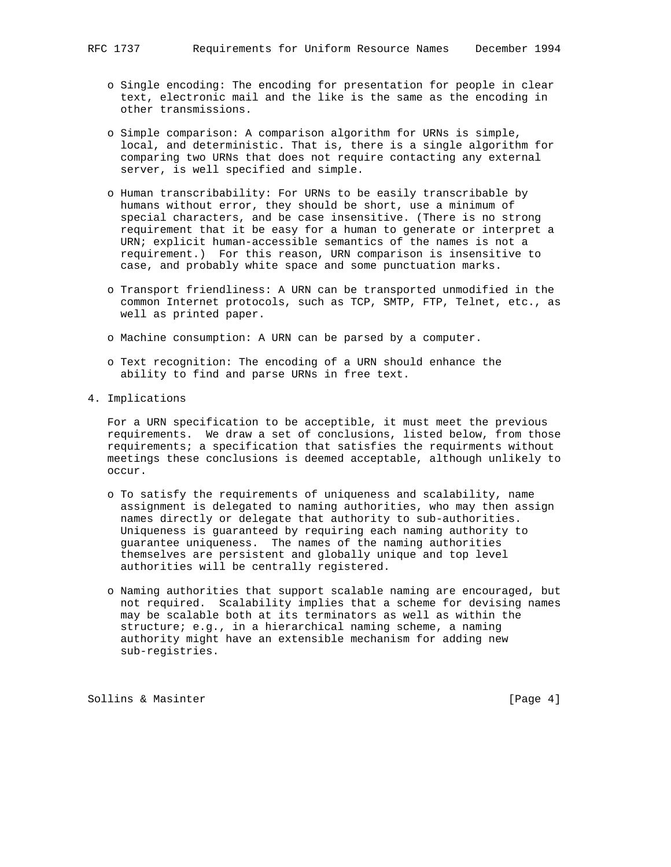- o Single encoding: The encoding for presentation for people in clear text, electronic mail and the like is the same as the encoding in other transmissions.
- o Simple comparison: A comparison algorithm for URNs is simple, local, and deterministic. That is, there is a single algorithm for comparing two URNs that does not require contacting any external server, is well specified and simple.
- o Human transcribability: For URNs to be easily transcribable by humans without error, they should be short, use a minimum of special characters, and be case insensitive. (There is no strong requirement that it be easy for a human to generate or interpret a URN; explicit human-accessible semantics of the names is not a requirement.) For this reason, URN comparison is insensitive to case, and probably white space and some punctuation marks.
- o Transport friendliness: A URN can be transported unmodified in the common Internet protocols, such as TCP, SMTP, FTP, Telnet, etc., as well as printed paper.
- o Machine consumption: A URN can be parsed by a computer.
- o Text recognition: The encoding of a URN should enhance the ability to find and parse URNs in free text.
- 4. Implications

 For a URN specification to be acceptible, it must meet the previous requirements. We draw a set of conclusions, listed below, from those requirements; a specification that satisfies the requirments without meetings these conclusions is deemed acceptable, although unlikely to occur.

- o To satisfy the requirements of uniqueness and scalability, name assignment is delegated to naming authorities, who may then assign names directly or delegate that authority to sub-authorities. Uniqueness is guaranteed by requiring each naming authority to guarantee uniqueness. The names of the naming authorities themselves are persistent and globally unique and top level authorities will be centrally registered.
- o Naming authorities that support scalable naming are encouraged, but not required. Scalability implies that a scheme for devising names may be scalable both at its terminators as well as within the structure; e.g., in a hierarchical naming scheme, a naming authority might have an extensible mechanism for adding new sub-registries.

Sollins & Masinter  $[Page 4]$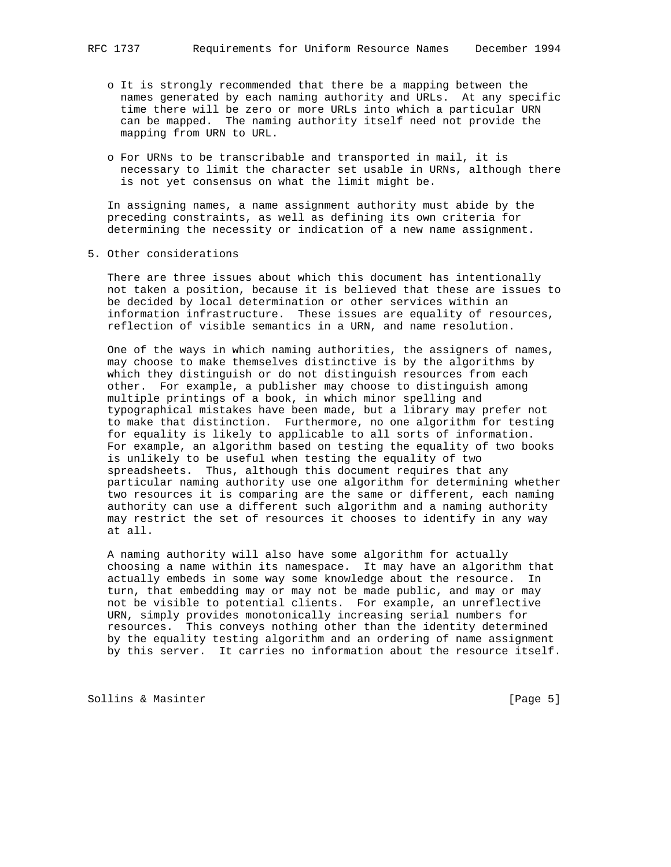- o It is strongly recommended that there be a mapping between the names generated by each naming authority and URLs. At any specific time there will be zero or more URLs into which a particular URN can be mapped. The naming authority itself need not provide the mapping from URN to URL.
- o For URNs to be transcribable and transported in mail, it is necessary to limit the character set usable in URNs, although there is not yet consensus on what the limit might be.

 In assigning names, a name assignment authority must abide by the preceding constraints, as well as defining its own criteria for determining the necessity or indication of a new name assignment.

5. Other considerations

 There are three issues about which this document has intentionally not taken a position, because it is believed that these are issues to be decided by local determination or other services within an information infrastructure. These issues are equality of resources, reflection of visible semantics in a URN, and name resolution.

 One of the ways in which naming authorities, the assigners of names, may choose to make themselves distinctive is by the algorithms by which they distinguish or do not distinguish resources from each other. For example, a publisher may choose to distinguish among multiple printings of a book, in which minor spelling and typographical mistakes have been made, but a library may prefer not to make that distinction. Furthermore, no one algorithm for testing for equality is likely to applicable to all sorts of information. For example, an algorithm based on testing the equality of two books is unlikely to be useful when testing the equality of two spreadsheets. Thus, although this document requires that any particular naming authority use one algorithm for determining whether two resources it is comparing are the same or different, each naming authority can use a different such algorithm and a naming authority may restrict the set of resources it chooses to identify in any way at all.

 A naming authority will also have some algorithm for actually choosing a name within its namespace. It may have an algorithm that actually embeds in some way some knowledge about the resource. In turn, that embedding may or may not be made public, and may or may not be visible to potential clients. For example, an unreflective URN, simply provides monotonically increasing serial numbers for resources. This conveys nothing other than the identity determined by the equality testing algorithm and an ordering of name assignment by this server. It carries no information about the resource itself.

Sollins & Masinter [Page 5]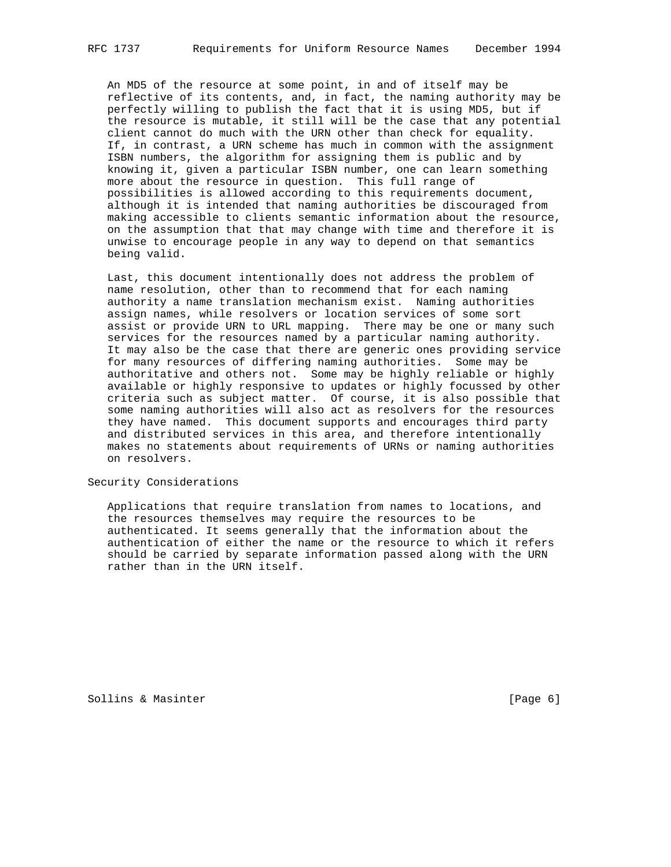An MD5 of the resource at some point, in and of itself may be reflective of its contents, and, in fact, the naming authority may be perfectly willing to publish the fact that it is using MD5, but if the resource is mutable, it still will be the case that any potential client cannot do much with the URN other than check for equality. If, in contrast, a URN scheme has much in common with the assignment ISBN numbers, the algorithm for assigning them is public and by knowing it, given a particular ISBN number, one can learn something more about the resource in question. This full range of possibilities is allowed according to this requirements document, although it is intended that naming authorities be discouraged from making accessible to clients semantic information about the resource, on the assumption that that may change with time and therefore it is unwise to encourage people in any way to depend on that semantics being valid.

 Last, this document intentionally does not address the problem of name resolution, other than to recommend that for each naming authority a name translation mechanism exist. Naming authorities assign names, while resolvers or location services of some sort assist or provide URN to URL mapping. There may be one or many such services for the resources named by a particular naming authority. It may also be the case that there are generic ones providing service for many resources of differing naming authorities. Some may be authoritative and others not. Some may be highly reliable or highly available or highly responsive to updates or highly focussed by other criteria such as subject matter. Of course, it is also possible that some naming authorities will also act as resolvers for the resources they have named. This document supports and encourages third party and distributed services in this area, and therefore intentionally makes no statements about requirements of URNs or naming authorities on resolvers.

Security Considerations

 Applications that require translation from names to locations, and the resources themselves may require the resources to be authenticated. It seems generally that the information about the authentication of either the name or the resource to which it refers should be carried by separate information passed along with the URN rather than in the URN itself.

Sollins & Masinter **Example 2** (Page 6)